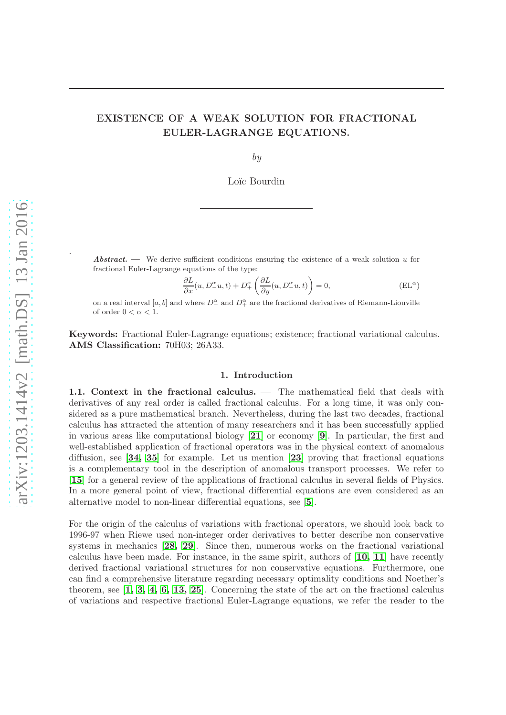# EXISTENCE OF A WEAK SOLUTION FOR FRACTIONAL EULER-LAGRANGE EQUATIONS.

by

Loïc Bourdin

**Abstract.** — We derive sufficient conditions ensuring the existence of a weak solution  $u$  for fractional Euler-Lagrange equations of the type:

$$
\frac{\partial L}{\partial x}(u, D_-^{\alpha}u, t) + D_+^{\alpha} \left( \frac{\partial L}{\partial y}(u, D_-^{\alpha}u, t) \right) = 0, \tag{EL}^{\alpha}
$$

on a real interval [a, b] and where  $D_-^{\alpha}$  and  $D_+^{\alpha}$  are the fractional derivatives of Riemann-Liouville of order  $0 < \alpha < 1$ .

Keywords: Fractional Euler-Lagrange equations; existence; fractional variational calculus. AMS Classification: 70H03; 26A33.

# 1. Introduction

1.1. Context in the fractional calculus. — The mathematical field that deals with derivatives of any real order is called fractional calculus. For a long time, it was only considered as a pure mathematical branch. Nevertheless, during the last two decades, fractional calculus has attracted the attention of many researchers and it has been successfully applied in various areas like computational biology  $[21]$  $[21]$  $[21]$  or economy  $[9]$  $[9]$  $[9]$ . In particular, the first and well-established application of fractional operators was in the physical context of anomalous diffusion, see  $\begin{bmatrix} 34, 35 \end{bmatrix}$  $\begin{bmatrix} 34, 35 \end{bmatrix}$  $\begin{bmatrix} 34, 35 \end{bmatrix}$  $\begin{bmatrix} 34, 35 \end{bmatrix}$  for example. Let us mention  $\begin{bmatrix} 23 \end{bmatrix}$  $\begin{bmatrix} 23 \end{bmatrix}$  $\begin{bmatrix} 23 \end{bmatrix}$  proving that fractional equations is a complementary tool in the description of anomalous transport processes. We refer to [[15](#page-16-2)] for a general review of the applications of fractional calculus in several fields of Physics. In a more general point of view, fractional differential equations are even considered as an alternative model to non-linear differential equations, see [[5](#page-15-1)].

For the origin of the calculus of variations with fractional operators, we should look back to 1996-97 when Riewe used non-integer order derivatives to better describe non conservative systems in mechanics [[28,](#page-16-3) [29](#page-16-4)]. Since then, numerous works on the fractional variational calculus have been made. For instance, in the same spirit, authors of  $\left[10, 11\right]$  $\left[10, 11\right]$  $\left[10, 11\right]$  $\left[10, 11\right]$  have recently derived fractional variational structures for non conservative equations. Furthermore, one can find a comprehensive literature regarding necessary optimality conditions and Noether's theorem, see  $\left[1, 3, 4, 6, 13, 25\right]$  $\left[1, 3, 4, 6, 13, 25\right]$  $\left[1, 3, 4, 6, 13, 25\right]$  $\left[1, 3, 4, 6, 13, 25\right]$  $\left[1, 3, 4, 6, 13, 25\right]$  $\left[1, 3, 4, 6, 13, 25\right]$  $\left[1, 3, 4, 6, 13, 25\right]$  $\left[1, 3, 4, 6, 13, 25\right]$ . Concerning the state of the art on the fractional calculus of variations and respective fractional Euler-Lagrange equations, we refer the reader to the

.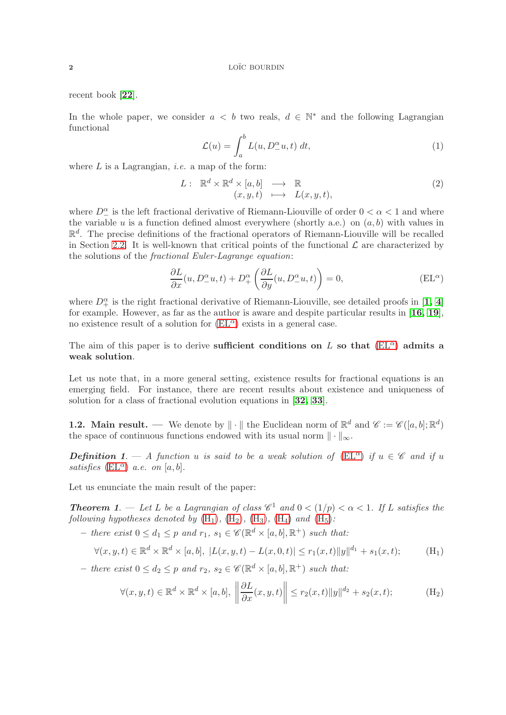recent book [[22](#page-16-8)].

In the whole paper, we consider  $a < b$  two reals,  $d \in \mathbb{N}^*$  and the following Lagrangian functional

$$
\mathcal{L}(u) = \int_{a}^{b} L(u, D_{-}^{\alpha}u, t) dt,
$$
\n(1)

where  $L$  is a Lagrangian, *i.e.* a map of the form:

$$
L: \mathbb{R}^d \times \mathbb{R}^d \times [a, b] \longrightarrow \mathbb{R} (x, y, t) \longmapsto L(x, y, t),
$$
 (2)

where  $D_{-}^{\alpha}$  is the left fractional derivative of Riemann-Liouville of order  $0 < \alpha < 1$  and where the variable  $u$  is a function defined almost everywhere (shortly a.e.) on  $(a, b)$  with values in  $\mathbb{R}^d$ . The precise definitions of the fractional operators of Riemann-Liouville will be recalled in Section [2.2.](#page-3-0) It is well-known that critical points of the functional  $\mathcal L$  are characterized by the solutions of the fractional Euler-Lagrange equation:

<span id="page-1-0"></span>
$$
\frac{\partial L}{\partial x}(u, D_{-}^{\alpha}u, t) + D_{+}^{\alpha} \left( \frac{\partial L}{\partial y}(u, D_{-}^{\alpha}u, t) \right) = 0, \tag{EL}^{\alpha}
$$

where  $D_+^{\alpha}$  is the right fractional derivative of Riemann-Liouville, see detailed proofs in [[1,](#page-15-3) [4](#page-15-5)] for example. However, as far as the author is aware and despite particular results in [[16,](#page-16-9) [19](#page-16-10)], no existence result of a solution for  $(EL^{\alpha})$  exists in a general case.

The aim of this paper is to derive sufficient conditions on L so that  $(EL^{\alpha})$  $(EL^{\alpha})$  admits a weak solution.

Let us note that, in a more general setting, existence results for fractional equations is an emerging field. For instance, there are recent results about existence and uniqueness of solution for a class of fractional evolution equations in [[32,](#page-16-11) [33](#page-16-12)].

<span id="page-1-3"></span>**1.2.** Main result. — We denote by  $\|\cdot\|$  the Euclidean norm of  $\mathbb{R}^d$  and  $\mathscr{C} := \mathscr{C}([a, b]; \mathbb{R}^d)$ the space of continuous functions endowed with its usual norm  $\|\cdot\|_{\infty}$ .

**Definition 1.** — A function u is said to be a weak solution of  $(EL^{\alpha})$  $(EL^{\alpha})$  if  $u \in \mathscr{C}$  and if u satisfies  $(EL^{\alpha})$  $(EL^{\alpha})$  a.e. on [a, b].

Let us enunciate the main result of the paper:

**Theorem 1.** — Let L be a Lagrangian of class  $\mathscr{C}^1$  and  $0 < (1/p) < \alpha < 1$ . If L satisfies the following hypotheses denoted by  $(H_1)$  $(H_1)$ ,  $(H_2)$ ,  $(H_3)$ ,  $(H_4)$  and  $(H_5)$ :

 $-$  there exist  $0 \leq d_1 \leq p$  and  $r_1, s_1 \in \mathscr{C}(\mathbb{R}^d \times [a, b], \mathbb{R}^+)$  such that:

$$
\forall (x, y, t) \in \mathbb{R}^d \times \mathbb{R}^d \times [a, b], \ |L(x, y, t) - L(x, 0, t)| \le r_1(x, t) \|y\|^{d_1} + s_1(x, t); \tag{H_1}
$$

- there exist  $0 \leq d_2 \leq p$  and  $r_2, s_2 \in \mathscr{C}(\mathbb{R}^d \times [a, b], \mathbb{R}^+)$  such that:

<span id="page-1-2"></span><span id="page-1-1"></span>
$$
\forall (x, y, t) \in \mathbb{R}^d \times \mathbb{R}^d \times [a, b], \ \left\| \frac{\partial L}{\partial x}(x, y, t) \right\| \le r_2(x, t) \|y\|^{d_2} + s_2(x, t); \tag{H_2}
$$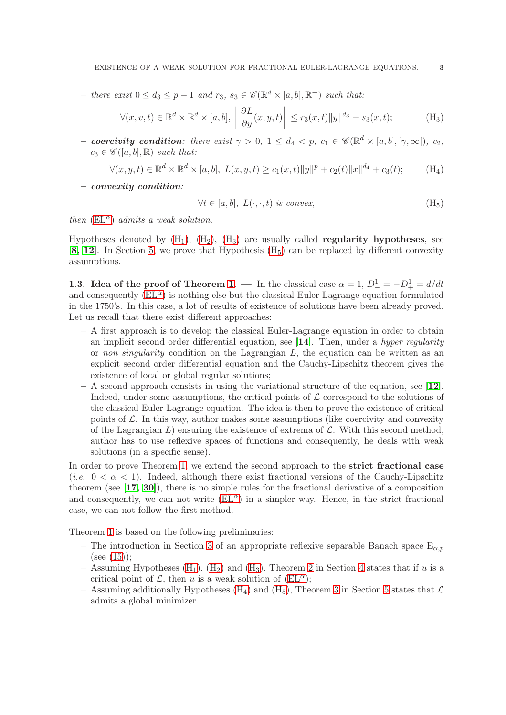- there exist  $0 \leq d_3 \leq p-1$  and  $r_3$ ,  $s_3 \in \mathscr{C}(\mathbb{R}^d \times [a, b], \mathbb{R}^+)$  such that:

$$
\forall (x, v, t) \in \mathbb{R}^d \times \mathbb{R}^d \times [a, b], \ \left\| \frac{\partial L}{\partial y}(x, y, t) \right\| \le r_3(x, t) \|y\|^{d_3} + s_3(x, t); \tag{H_3}
$$

- coercivity condition: there exist  $\gamma > 0$ ,  $1 \leq d_4 < p$ ,  $c_1 \in \mathscr{C}(\mathbb{R}^d \times [a, b], [\gamma, \infty]), c_2$ ,  $c_3 \in \mathscr{C}([a, b], \mathbb{R})$  such that:

$$
\forall (x, y, t) \in \mathbb{R}^d \times \mathbb{R}^d \times [a, b], \ L(x, y, t) \ge c_1(x, t) \|y\|^p + c_2(t) \|x\|^{d_4} + c_3(t); \tag{H_4}
$$

– convexity condition:

<span id="page-2-2"></span><span id="page-2-1"></span><span id="page-2-0"></span>
$$
\forall t \in [a, b], \ L(\cdot, \cdot, t) \ \text{is convex}, \tag{H}_5
$$

then  $(EL^{\alpha})$  $(EL^{\alpha})$  admits a weak solution.

Hypotheses denoted by  $(H_1)$ ,  $(H_2)$ ,  $(H_3)$  are usually called **regularity hypotheses**, see [[8,](#page-15-7) [12](#page-16-13)]. In Section [5,](#page-11-0) we prove that Hypothesis  $(H_5)$  can be replaced by different convexity assumptions.

**1.3.** Idea of the proof of Theorem 1. — In the classical case  $\alpha = 1$ ,  $D_{-}^{1} = -D_{+}^{1} = d/dt$ and consequently  $(EL^{\alpha})$  is nothing else but the classical Euler-Lagrange equation formulated in the 1750's. In this case, a lot of results of existence of solutions have been already proved. Let us recall that there exist different approaches:

- A first approach is to develop the classical Euler-Lagrange equation in order to obtain an implicit second order differential equation, see  $[14]$  $[14]$  $[14]$ . Then, under a *hyper regularity* or non singularity condition on the Lagrangian  $L$ , the equation can be written as an explicit second order differential equation and the Cauchy-Lipschitz theorem gives the existence of local or global regular solutions;
- $-$  A second approach consists in using the variational structure of the equation, see [[12](#page-16-13)]. Indeed, under some assumptions, the critical points of  $\mathcal L$  correspond to the solutions of the classical Euler-Lagrange equation. The idea is then to prove the existence of critical points of  $\mathcal{L}$ . In this way, author makes some assumptions (like coercivity and convexity of the Lagrangian  $L$ ) ensuring the existence of extrema of  $\mathcal{L}$ . With this second method, author has to use reflexive spaces of functions and consequently, he deals with weak solutions (in a specific sense).

In order to prove Theorem 1, we extend the second approach to the **strict fractional case** (*i.e.*  $0 < \alpha < 1$ ). Indeed, although there exist fractional versions of the Cauchy-Lipschitz theorem (see  $[17, 30]$  $[17, 30]$  $[17, 30]$  $[17, 30]$ ), there is no simple rules for the fractional derivative of a composition and consequently, we can not write  $(EL^{\alpha})$  in a simpler way. Hence, in the strict fractional case, we can not follow the first method.

Theorem 1 is based on the following preliminaries:

- The introduction in Section [3](#page-6-0) of an appropriate reflexive separable Banach space  $E_{\alpha,p}$  $(see (15))$  $(see (15))$  $(see (15))$ ;
- Assuming Hypotheses  $(H_1)$ ,  $(H_2)$  and  $(H_3)$ , Theorem 2 in Section [4](#page-9-0) states that if u is a critical point of L, then u is a weak solution of  $(EL^{\alpha})$ ;
- Assuming additionally Hypotheses [\(H](#page-2-2)<sub>4</sub>) and (H<sub>5</sub>), Theorem 3 in Section [5](#page-11-0) states that  $\mathcal{L}$ admits a global minimizer.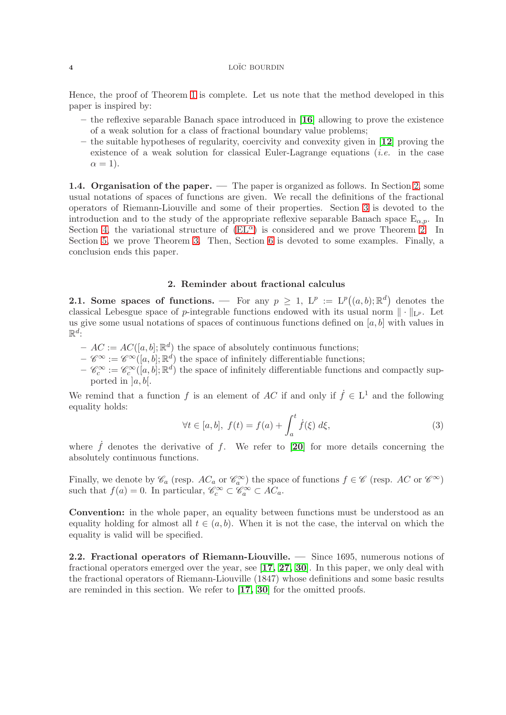Hence, the proof of Theorem 1 is complete. Let us note that the method developed in this paper is inspired by:

- the reflexive separable Banach space introduced in [[16](#page-16-9)] allowing to prove the existence of a weak solution for a class of fractional boundary value problems;
- $-$  the suitable hypotheses of regularity, coercivity and convexity given in [[12](#page-16-13)] proving the existence of a weak solution for classical Euler-Lagrange equations (i.e. in the case  $\alpha = 1$ ).

1.4. Organisation of the paper. — The paper is organized as follows. In Section [2,](#page-3-1) some usual notations of spaces of functions are given. We recall the definitions of the fractional operators of Riemann-Liouville and some of their properties. Section [3](#page-6-0) is devoted to the introduction and to the study of the appropriate reflexive separable Banach space  $E_{\alpha,p}$ . In Section [4,](#page-9-0) the variational structure of  $(EL^{\alpha})$  is considered and we prove Theorem 2. In Section [5,](#page-11-0) we prove Theorem 3. Then, Section [6](#page-14-0) is devoted to some examples. Finally, a conclusion ends this paper.

# 2. Reminder about fractional calculus

<span id="page-3-1"></span>**2.1.** Some spaces of functions. — For any  $p \geq 1$ ,  $L^p := L^p((a, b); \mathbb{R}^d)$  denotes the classical Lebesgue space of p-integrable functions endowed with its usual norm  $\|\cdot\|_{L^p}$ . Let us give some usual notations of spaces of continuous functions defined on  $[a, b]$  with values in  $\mathbb{R}^d$ :

- $-AC := AC([a, b]; \mathbb{R}^d)$  the space of absolutely continuous functions;
- $-\mathscr{C}^{\infty} := \mathscr{C}^{\infty}([a, b]; \mathbb{R}^d)$  the space of infinitely differentiable functions;
- $-\mathscr{C}_c^{\infty} := \mathscr{C}_c^{\infty}([a, b]; \mathbb{R}^d)$  the space of infinitely differentiable functions and compactly supported in  $[a, b]$ .

We remind that a function f is an element of AC if and only if  $\dot{f} \in L^1$  and the following equality holds:

$$
\forall t \in [a, b], \ f(t) = f(a) + \int_a^t \dot{f}(\xi) \ d\xi,
$$
\n(3)

where  $\dot{f}$  denotes the derivative of f. We refer to [[20](#page-16-17)] for more details concerning the absolutely continuous functions.

Finally, we denote by  $\mathscr{C}_a$  (resp.  $AC_a$  or  $\mathscr{C}_a^{\infty}$ ) the space of functions  $f \in \mathscr{C}$  (resp.  $AC$  or  $\mathscr{C}^{\infty}$ ) such that  $f(a) = 0$ . In particular,  $\mathscr{C}_c^{\infty} \subset \mathscr{C}_a^{\infty} \subset AC_a$ .

Convention: in the whole paper, an equality between functions must be understood as an equality holding for almost all  $t \in (a, b)$ . When it is not the case, the interval on which the equality is valid will be specified.

<span id="page-3-0"></span>2.2. Fractional operators of Riemann-Liouville. — Since 1695, numerous notions of fractional operators emerged over the year, see [[17,](#page-16-15) [27,](#page-16-18) [30](#page-16-16)]. In this paper, we only deal with the fractional operators of Riemann-Liouville (1847) whose definitions and some basic results are reminded in this section. We refer to [[17,](#page-16-15) [30](#page-16-16)] for the omitted proofs.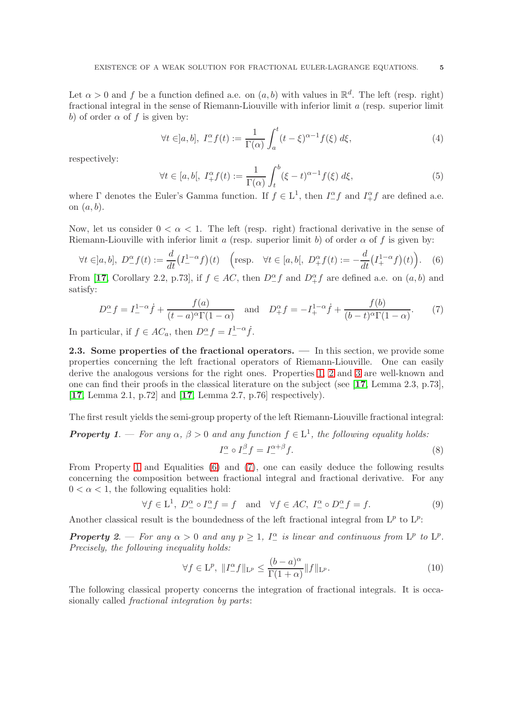Let  $\alpha > 0$  and f be a function defined a.e. on  $(a, b)$  with values in  $\mathbb{R}^d$ . The left (resp. right) fractional integral in the sense of Riemann-Liouville with inferior limit a (resp. superior limit b) of order  $\alpha$  of f is given by:

$$
\forall t \in ]a, b], \ I^{\alpha}_{-} f(t) := \frac{1}{\Gamma(\alpha)} \int_{a}^{t} (t - \xi)^{\alpha - 1} f(\xi) d\xi,
$$
\n(4)

respectively:

$$
\forall t \in [a, b[, \ I_+^{\alpha} f(t) := \frac{1}{\Gamma(\alpha)} \int_t^b (\xi - t)^{\alpha - 1} f(\xi) \ d\xi,
$$
\n
$$
(5)
$$

where  $\Gamma$  denotes the Euler's Gamma function. If  $f \in L^1$ , then  $I^{\alpha}_{-}f$  and  $I^{\alpha}_{+}f$  are defined a.e. on  $(a, b)$ .

Now, let us consider  $0 < \alpha < 1$ . The left (resp. right) fractional derivative in the sense of Riemann-Liouville with inferior limit a (resp. superior limit b) of order  $\alpha$  of f is given by:

<span id="page-4-0"></span>
$$
\forall t \in ]a, b], \ D^{\alpha}_{-} f(t) := \frac{d}{dt} \left( I^{1-\alpha}_{-} f \right)(t) \quad \left( \text{resp.} \quad \forall t \in [a, b[, \ D^{\alpha}_{+} f(t) := -\frac{d}{dt} \left( I^{1-\alpha}_{+} f \right)(t) \right). \tag{6}
$$

From [[17](#page-16-15), Corollary 2.2, p.73], if  $f \in AC$ , then  $D^{\alpha}_{-}f$  and  $D^{\alpha}_{+}f$  are defined a.e. on  $(a, b)$  and satisfy:

<span id="page-4-1"></span>
$$
D_{-}^{\alpha}f = I_{-}^{1-\alpha}\dot{f} + \frac{f(a)}{(t-a)^{\alpha}\Gamma(1-\alpha)} \quad \text{and} \quad D_{+}^{\alpha}f = -I_{+}^{1-\alpha}\dot{f} + \frac{f(b)}{(b-t)^{\alpha}\Gamma(1-\alpha)}.
$$
 (7)

In particular, if  $f \in AC_a$ , then  $D^{\alpha}_{-} f = I^{1-\alpha}_{-} \dot{f}$ .

2.3. Some properties of the fractional operators. — In this section, we provide some properties concerning the left fractional operators of Riemann-Liouville. One can easily derive the analogous versions for the right ones. Properties 1, 2 and 3 are well-known and one can find their proofs in the classical literature on the subject (see [[17](#page-16-15), Lemma 2.3, p.73], [[17](#page-16-15), Lemma 2.1, p.72] and [[17](#page-16-15), Lemma 2.7, p.76] respectively).

The first result yields the semi-group property of the left Riemann-Liouville fractional integral:

# **Property 1.** — For any  $\alpha$ ,  $\beta > 0$  and any function  $f \in L^1$ , the following equality holds:  $I_-^{\alpha} \circ I_-^{\beta} f = I_-^{\alpha+\beta}$  $\int_{-}^{\alpha+\beta} f.$  (8)

From Property 1 and Equalities [\(6\)](#page-4-0) and [\(7\)](#page-4-1), one can easily deduce the following results concerning the composition between fractional integral and fractional derivative. For any  $0 < \alpha < 1$ , the following equalities hold:

$$
\forall f \in \mathcal{L}^1, \ D_-^{\alpha} \circ I_-^{\alpha} f = f \quad \text{and} \quad \forall f \in AC, \ I_-^{\alpha} \circ D_-^{\alpha} f = f. \tag{9}
$$

Another classical result is the boundedness of the left fractional integral from  $L^p$  to  $L^p$ :

**Property** 2. – For any  $\alpha > 0$  and any  $p \ge 1$ ,  $I_{-}^{\alpha}$  is linear and continuous from  $L^p$  to  $L^p$ . Precisely, the following inequality holds:

$$
\forall f \in \mathcal{L}^p, \ \|I_{-}^{\alpha}f\|_{\mathcal{L}^p} \le \frac{(b-a)^{\alpha}}{\Gamma(1+\alpha)}\|f\|_{\mathcal{L}^p}.\tag{10}
$$

The following classical property concerns the integration of fractional integrals. It is occasionally called fractional integration by parts: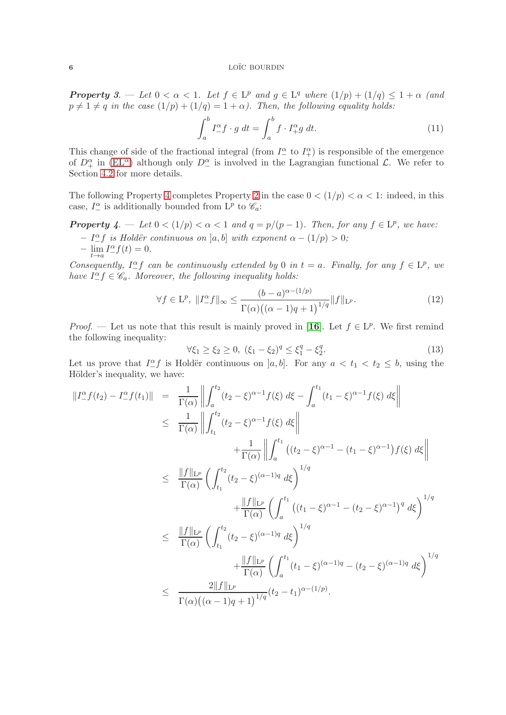**Property** 3. — Let  $0 < \alpha < 1$ . Let  $f \in L^p$  and  $g \in L^q$  where  $(1/p) + (1/q) \leq 1 + \alpha$  (and  $p \neq 1 \neq q$  in the case  $(1/p) + (1/q) = 1 + \alpha$ ). Then, the following equality holds:

$$
\int_{a}^{b} I_{-}^{\alpha} f \cdot g \, dt = \int_{a}^{b} f \cdot I_{+}^{\alpha} g \, dt. \tag{11}
$$

This change of side of the fractional integral (from  $I^{\alpha}_{-}$  to  $I^{\alpha}_{+}$ ) is responsible of the emergence of  $D_+^{\alpha}$  in [\(EL](#page-1-0)<sup> $\alpha$ </sup>) although only  $D_-^{\alpha}$  is involved in the Lagrangian functional  $\mathcal{L}$ . We refer to Section [4.2](#page-11-1) for more details.

The following Property 4 completes Property 2 in the case  $0 < (1/p) < \alpha < 1$ : indeed, in this case,  $I_{-}^{\alpha}$  is additionally bounded from L<sup>p</sup> to  $\mathcal{C}_a$ :

**Property** 4.  $\blacksquare$  Let  $0 < (1/p) < \alpha < 1$  and  $q = p/(p-1)$ . Then, for any  $f \in L^p$ , we have:

- $-I_{-}^{\alpha}f$  is Holdër continuous on [a, b] with exponent  $\alpha (1/p) > 0$ ;
- $-\lim_{t\to a} I_{-}^{\alpha} f(t) = 0.$

Consequently,  $I_{-}^{\alpha}f$  can be continuously extended by 0 in  $t = a$ . Finally, for any  $f \in L^p$ , we have  $I_{-}^{\alpha}f \in \mathscr{C}_{a}$ . Moreover, the following inequality holds:

$$
\forall f \in \mathcal{L}^p, \ \|I_{-}^{\alpha}f\|_{\infty} \le \frac{(b-a)^{\alpha - (1/p)}}{\Gamma(\alpha)\big((\alpha - 1)q + 1\big)^{1/q}} \|f\|_{\mathcal{L}^p}.
$$
\n(12)

*Proof.* — Let us note that this result is mainly proved in [[16](#page-16-9)]. Let  $f \in L^p$ . We first remind the following inequality:

$$
\forall \xi_1 \ge \xi_2 \ge 0, \ (\xi_1 - \xi_2)^q \le \xi_1^q - \xi_2^q. \tag{13}
$$

Let us prove that  $I_{-}^{\alpha} f$  is Holdër continuous on  $]a, b]$ . For any  $a < t_1 < t_2 \leq b$ , using the Hölder's inequality, we have:

$$
||I_{-}^{\alpha}f(t_{2}) - I_{-}^{\alpha}f(t_{1})|| = \frac{1}{\Gamma(\alpha)} \left\| \int_{a}^{t_{2}} (t_{2} - \xi)^{\alpha - 1} f(\xi) d\xi - \int_{a}^{t_{1}} (t_{1} - \xi)^{\alpha - 1} f(\xi) d\xi \right\|
$$
  
\n
$$
\leq \frac{1}{\Gamma(\alpha)} \left\| \int_{t_{1}}^{t_{2}} (t_{2} - \xi)^{\alpha - 1} f(\xi) d\xi \right\|
$$
  
\n
$$
\leq \frac{||f||_{L^{p}}}{\Gamma(\alpha)} \left\| \int_{t_{1}}^{t_{2}} (t_{2} - \xi)^{\alpha - 1} g(\xi) d\xi \right\|
$$
  
\n
$$
\leq \frac{||f||_{L^{p}}}{\Gamma(\alpha)} \left( \int_{t_{1}}^{t_{2}} (t_{2} - \xi)^{(\alpha - 1)q} d\xi \right)^{1/q}
$$
  
\n
$$
\leq \frac{||f||_{L^{p}}}{\Gamma(\alpha)} \left( \int_{a}^{t_{1}} (t_{1} - \xi)^{\alpha - 1} - (t_{2} - \xi)^{\alpha - 1} \right)^{q} d\xi \right)^{1/q}
$$
  
\n
$$
\leq \frac{||f||_{L^{p}}}{\Gamma(\alpha)} \left( \int_{t_{1}}^{t_{2}} (t_{2} - \xi)^{(\alpha - 1)q} d\xi \right)^{1/q}
$$
  
\n
$$
\leq \frac{2||f||_{L^{p}}}{\Gamma(\alpha)} \left( \int_{a}^{t_{1}} (t_{1} - \xi)^{(\alpha - 1)q} - (t_{2} - \xi)^{(\alpha - 1)q} d\xi \right)^{1/q}
$$
  
\n
$$
\leq \frac{2||f||_{L^{p}}}{\Gamma(\alpha)((\alpha - 1)q + 1)^{1/q}} (t_{2} - t_{1})^{\alpha - (1/p)}.
$$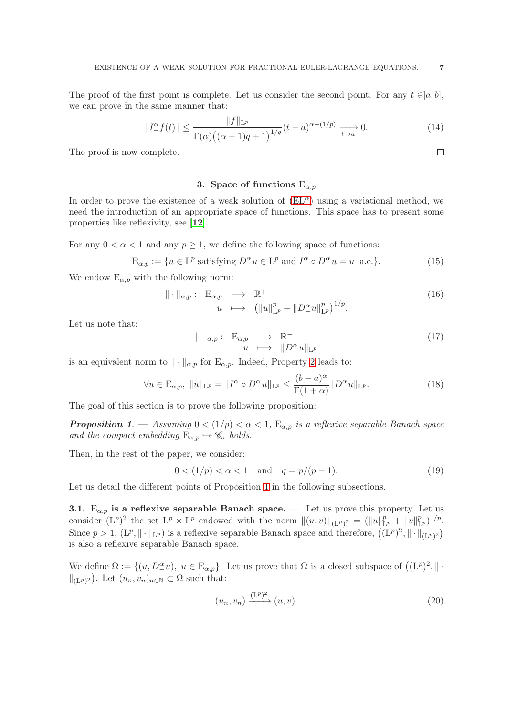The proof of the first point is complete. Let us consider the second point. For any  $t \in ]a, b]$ , we can prove in the same manner that:

$$
||I_{-}^{\alpha}f(t)|| \le \frac{||f||_{\mathcal{L}^{p}}}{\Gamma(\alpha)\left((\alpha-1)q+1\right)^{1/q}}(t-a)^{\alpha-(1/p)} \xrightarrow[t \to a]{} 0. \tag{14}
$$

<span id="page-6-0"></span>The proof is now complete.

# 3. Space of functions  $E_{\alpha,p}$

In order to prove the existence of a weak solution of  $(EL^{\alpha})$  using a variational method, we need the introduction of an appropriate space of functions. This space has to present some properties like reflexivity, see [[12](#page-16-13)].

For any  $0 < \alpha < 1$  and any  $p \ge 1$ , we define the following space of functions:

<span id="page-6-1"></span>
$$
\mathcal{E}_{\alpha,p} := \{ u \in \mathcal{L}^p \text{ satisfying } D^{\alpha}_{-} u \in \mathcal{L}^p \text{ and } I^{\alpha}_{-} \circ D^{\alpha}_{-} u = u \text{ a.e.} \}. \tag{15}
$$

We endow  $E_{\alpha,p}$  with the following norm:

$$
\|\cdot\|_{\alpha,p}:\mathcal{E}_{\alpha,p} \longrightarrow \mathbb{R}^+\n\nu \longmapsto (\|u\|_{\mathcal{L}^p}^p + \|D^\alpha_- u\|_{\mathcal{L}^p}^p)^{1/p}.
$$
\n(16)

Let us note that:

$$
|\cdot|_{\alpha,p}:\mathcal{E}_{\alpha,p} \longrightarrow \mathbb{R}^+ \n u \longmapsto \|D^{\alpha}_{-}u\|_{\mathcal{L}^p}
$$
\n
$$
(17)
$$

is an equivalent norm to  $\|\cdot\|_{\alpha,p}$  for  $E_{\alpha,p}$ . Indeed, Property 2 leads to:

<span id="page-6-3"></span>
$$
\forall u \in \mathcal{E}_{\alpha, p}, \ \|u\|_{\mathcal{L}^p} = \|I^{\alpha} \circ D^{\alpha} u\|_{\mathcal{L}^p} \leq \frac{(b-a)^{\alpha}}{\Gamma(1+\alpha)} \|D^{\alpha} u\|_{\mathcal{L}^p}.
$$
 (18)

The goal of this section is to prove the following proposition:

**Proposition 1.** — Assuming  $0 < (1/p) < \alpha < 1$ ,  $E_{\alpha,p}$  is a reflexive separable Banach space and the compact embedding  $E_{\alpha,p} \hookrightarrow \mathscr{C}_a$  holds.

Then, in the rest of the paper, we consider:

$$
0 < (1/p) < \alpha < 1 \quad \text{and} \quad q = p/(p-1). \tag{19}
$$

Let us detail the different points of Proposition 1 in the following subsections.

<span id="page-6-2"></span>3.1.  $E_{\alpha,p}$  is a reflexive separable Banach space. — Let us prove this property. Let us consider  $(L^p)^2$  the set  $L^p \times L^p$  endowed with the norm  $||(u, v)||_{(L^p)^2} = (||u||_{L^p}^p + ||v||_{L^p}^p)^{1/p}$ . Since  $p > 1$ ,  $(L^p, \|\cdot\|_{L^p})$  is a reflexive separable Banach space and therefore,  $((L^p)^2, \|\cdot\|_{(L^p)^2})$ is also a reflexive separable Banach space.

We define  $\Omega := \{(u, D^{\alpha}_{-}u), u \in E_{\alpha,p}\}.$  Let us prove that  $\Omega$  is a closed subspace of  $((L^p)^2, \|\cdot\|)$  $\|_{(L^p)^2}$ . Let  $(u_n, v_n)_{n \in \mathbb{N}} \subset \Omega$  such that:

$$
(u_n, v_n) \xrightarrow{(\mathbf{L}^p)^2} (u, v).
$$
\n<sup>(20)</sup>

 $\Box$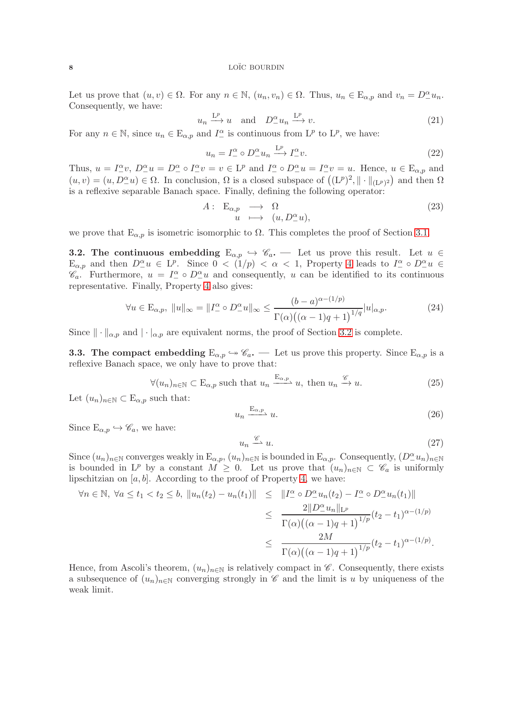Let us prove that  $(u, v) \in \Omega$ . For any  $n \in \mathbb{N}$ ,  $(u_n, v_n) \in \Omega$ . Thus,  $u_n \in \mathbb{E}_{\alpha, p}$  and  $v_n = D_+^{\alpha} u_n$ . Consequently, we have:

$$
u_n \xrightarrow{\mathrm{L}^p} u \quad \text{and} \quad D^{\alpha}_{-} u_n \xrightarrow{\mathrm{L}^p} v. \tag{21}
$$

For any  $n \in \mathbb{N}$ , since  $u_n \in \mathcal{E}_{\alpha,p}$  and  $I_1^{\alpha}$  is continuous from  $\mathcal{L}^p$  to  $\mathcal{L}^p$ , we have:

$$
u_n = I^{\alpha} \circ D^{\alpha} u_n \xrightarrow{\mathcal{L}^p} I^{\alpha} v. \tag{22}
$$

Thus,  $u = I^{\alpha}_{-}v$ ,  $D^{\alpha}_{-}u = D^{\alpha}_{-} \circ I^{\alpha}_{-}v = v \in L^{p}$  and  $I^{\alpha}_{-} \circ D^{\alpha}_{-}u = I^{\alpha}_{-}v = u$ . Hence,  $u \in E_{\alpha,p}$  and  $(u, v) = (u, D_{{-}}^{\alpha}u) \in \Omega$ . In conclusion,  $\Omega$  is a closed subspace of  $((L^p)^2, \|\cdot\|_{(L^p)^2})$  and then  $\Omega$ is a reflexive separable Banach space. Finally, defining the following operator:

$$
A: \mathcal{E}_{\alpha,p} \longrightarrow \Omega \n u \longmapsto (u, D^{\alpha}_{-}u),
$$
\n(23)

<span id="page-7-0"></span>we prove that  $E_{\alpha,p}$  is isometric isomorphic to  $\Omega$ . This completes the proof of Section [3.1.](#page-6-2)

**3.2.** The continuous embedding  $E_{\alpha,p} \leftrightarrow \mathscr{C}_a$ . — Let us prove this result. Let  $u \in$  $E_{\alpha,p}$  and then  $D_{-}^{\alpha}u \in L^{p}$ . Since  $0 < (1/p) < \alpha < 1$ , Property 4 leads to  $I_{-}^{\alpha} \circ D_{-}^{\alpha}u \in L^{p}$  $\mathscr{C}_a$ . Furthermore,  $u = I^{\alpha} \circ D^{\alpha} u$  and consequently, u can be identified to its continuous representative. Finally, Property 4 also gives:

$$
\forall u \in \mathcal{E}_{\alpha,p}, \ ||u||_{\infty} = ||I_{-}^{\alpha} \circ D_{-}^{\alpha} u||_{\infty} \le \frac{(b-a)^{\alpha - (1/p)}}{\Gamma(\alpha)((\alpha - 1)q + 1)^{1/q}} |u|_{\alpha,p}.
$$
 (24)

<span id="page-7-1"></span>Since  $\|\cdot\|_{\alpha,p}$  and  $|\cdot|_{\alpha,p}$  are equivalent norms, the proof of Section [3.2](#page-7-0) is complete.

**3.3.** The compact embedding  $E_{\alpha,p} \hookrightarrow \mathscr{C}_a$ . — Let us prove this property. Since  $E_{\alpha,p}$  is a reflexive Banach space, we only have to prove that:

$$
\forall (u_n)_{n \in \mathbb{N}} \subset \mathcal{E}_{\alpha, p} \text{ such that } u_n \xrightarrow{\mathcal{E}_{\alpha, p}} u, \text{ then } u_n \xrightarrow{\mathscr{C}} u. \tag{25}
$$

Let  $(u_n)_{n\in\mathbb{N}}\subset \mathbb{E}_{\alpha,p}$  such that:

$$
u_n \xrightarrow{\mathbf{E}_{\alpha,p}} u. \tag{26}
$$

Since  $E_{\alpha,p} \hookrightarrow \mathscr{C}_a$ , we have:

$$
u_n \xrightarrow{\mathscr{C}} u. \tag{27}
$$

Since  $(u_n)_{n\in\mathbb{N}}$  converges weakly in  $\mathbb{E}_{\alpha,p}$ ,  $(u_n)_{n\in\mathbb{N}}$  is bounded in  $\mathbb{E}_{\alpha,p}$ . Consequently,  $(D_-^{\alpha}u_n)_{n\in\mathbb{N}}$ is bounded in L<sup>p</sup> by a constant  $M \geq 0$ . Let us prove that  $(u_n)_{n \in \mathbb{N}} \subset \mathscr{C}_a$  is uniformly lipschitzian on  $[a, b]$ . According to the proof of Property 4, we have:

$$
\forall n \in \mathbb{N}, \ \forall a \le t_1 < t_2 \le b, \ \|u_n(t_2) - u_n(t_1)\| \le \|I_{-}^{\alpha} \circ D_{-}^{\alpha} u_n(t_2) - I_{-}^{\alpha} \circ D_{-}^{\alpha} u_n(t_1)\|
$$
\n
$$
\le \frac{2\|D_{-}^{\alpha} u_n\|_{\mathcal{L}^p}}{\Gamma(\alpha) \big((\alpha - 1)q + 1\big)^{1/p}} (t_2 - t_1)^{\alpha - (1/p)} \le \frac{2M}{\Gamma(\alpha) \big((\alpha - 1)q + 1\big)^{1/p}} (t_2 - t_1)^{\alpha - (1/p)}.
$$

Hence, from Ascoli's theorem,  $(u_n)_{n\in\mathbb{N}}$  is relatively compact in  $\mathscr{C}$ . Consequently, there exists a subsequence of  $(u_n)_{n\in\mathbb{N}}$  converging strongly in  $\mathscr C$  and the limit is u by uniqueness of the weak limit.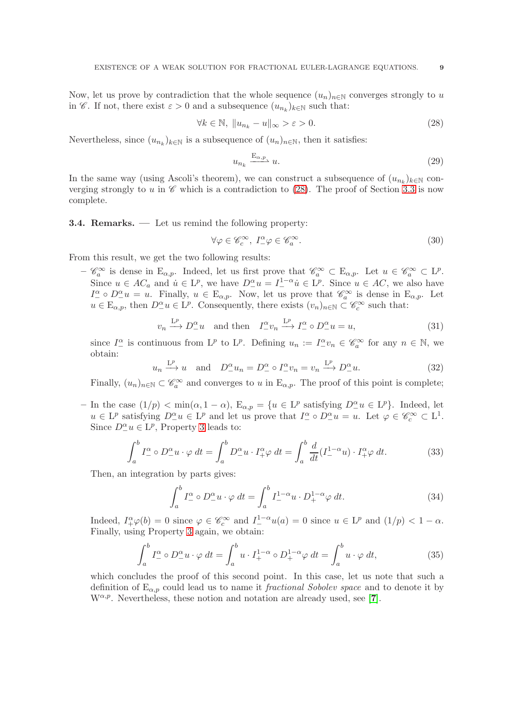Now, let us prove by contradiction that the whole sequence  $(u_n)_{n\in\mathbb{N}}$  converges strongly to u in  $\mathscr{C}$ . If not, there exist  $\varepsilon > 0$  and a subsequence  $(u_{n_k})_{k \in \mathbb{N}}$  such that:

<span id="page-8-0"></span>
$$
\forall k \in \mathbb{N}, \ \|u_{n_k} - u\|_{\infty} > \varepsilon > 0. \tag{28}
$$

Nevertheless, since  $(u_{n_k})_{k \in \mathbb{N}}$  is a subsequence of  $(u_n)_{n \in \mathbb{N}}$ , then it satisfies:

$$
u_{n_k} \xrightarrow{\mathcal{E}_{\alpha,p}} u. \tag{29}
$$

In the same way (using Ascoli's theorem), we can construct a subsequence of  $(u_{n_k})_{k\in\mathbb{N}}$  converging strongly to u in  $\mathscr C$  which is a contradiction to [\(28\)](#page-8-0). The proof of Section [3.3](#page-7-1) is now complete.

3.4. Remarks. — Let us remind the following property:

$$
\forall \varphi \in \mathscr{C}_c^{\infty}, \ I^{\alpha}_{-\varphi} \in \mathscr{C}_a^{\infty}.
$$
 (30)

From this result, we get the two following results:

 $-\mathscr{C}_a^{\infty}$  is dense in  $E_{\alpha,p}$ . Indeed, let us first prove that  $\mathscr{C}_a^{\infty} \subset E_{\alpha,p}$ . Let  $u \in \mathscr{C}_a^{\infty} \subset L^p$ . Since  $u \in AC_a$  and  $\dot{u} \in L^p$ , we have  $D^{\alpha}_{-}u = I^{1-\alpha}_{-} \dot{u} \in L^p$ . Since  $u \in AC$ , we also have  $I^{\alpha}_{-} \circ D^{\alpha}_{-}u = u$ . Finally,  $u \in E_{\alpha,p}$ . Now, let us prove that  $\mathscr{C}_{a}^{\infty}$  is dense in  $E_{\alpha,p}$ . Let  $u \in \mathcal{E}_{\alpha,p}$ , then  $D^{\alpha}_{-}u \in \mathcal{L}^{p}$ . Consequently, there exists  $(v_n)_{n \in \mathbb{N}} \subset \mathscr{C}^{\infty}_{c}$  such that:

$$
v_n \xrightarrow{\mathcal{L}^p} D^{\alpha}_{-}u \quad \text{and then} \quad I^{\alpha}_{-}v_n \xrightarrow{\mathcal{L}^p} I^{\alpha}_{-} \circ D^{\alpha}_{-}u = u,
$$
\n(31)

since  $I_{-}^{\alpha}$  is continuous from  $L^p$  to  $L^p$ . Defining  $u_n := I_{-}^{\alpha} v_n \in \mathscr{C}_{a}^{\infty}$  for any  $n \in \mathbb{N}$ , we obtain:

$$
u_n \xrightarrow{\mathbf{L}^p} u
$$
 and  $D_-^{\alpha} u_n = D_-^{\alpha} \circ I_-^{\alpha} v_n = v_n \xrightarrow{\mathbf{L}^p} D_-^{\alpha} u.$  (32)

Finally,  $(u_n)_{n\in\mathbb{N}}\subset\mathscr{C}_a^{\infty}$  and converges to u in  $E_{\alpha,p}$ . The proof of this point is complete;

- In the case  $(1/p) < \min(\alpha, 1 - \alpha)$ ,  $E_{\alpha, p} = \{u \in L^p \text{ satisfying } D^{\alpha}_u u \in L^p \}$ . Indeed, let  $u \in L^p$  satisfying  $D^{\alpha}_{-}u \in L^p$  and let us prove that  $I^{\alpha}_{-} \circ D^{\alpha}_{-}u = u$ . Let  $\varphi \in \mathscr{C}^{\infty}_c \subset L^1$ . Since  $D_{-}^{\alpha}u \in L^{p}$ , Property 3 leads to:

$$
\int_{a}^{b} I_{-}^{\alpha} \circ D_{-}^{\alpha} u \cdot \varphi \, dt = \int_{a}^{b} D_{-}^{\alpha} u \cdot I_{+}^{\alpha} \varphi \, dt = \int_{a}^{b} \frac{d}{dt} (I_{-}^{1-\alpha} u) \cdot I_{+}^{\alpha} \varphi \, dt. \tag{33}
$$

Then, an integration by parts gives:

$$
\int_{a}^{b} I_{-}^{\alpha} \circ D_{-}^{\alpha} u \cdot \varphi \, dt = \int_{a}^{b} I_{-}^{1-\alpha} u \cdot D_{+}^{1-\alpha} \varphi \, dt. \tag{34}
$$

Indeed,  $I^{\alpha}_{+} \varphi(b) = 0$  since  $\varphi \in \mathscr{C}_c^{\infty}$  and  $I^{1-\alpha}_{-} u(a) = 0$  since  $u \in L^p$  and  $(1/p) < 1 - \alpha$ . Finally, using Property 3 again, we obtain:

$$
\int_{a}^{b} I_{-}^{\alpha} \circ D_{-}^{\alpha} u \cdot \varphi \, dt = \int_{a}^{b} u \cdot I_{+}^{1-\alpha} \circ D_{+}^{1-\alpha} \varphi \, dt = \int_{a}^{b} u \cdot \varphi \, dt,
$$
\n(35)

which concludes the proof of this second point. In this case, let us note that such a definition of  $E_{\alpha,p}$  could lead us to name it *fractional Sobolev space* and to denote it by  $W^{\alpha,p}$ . Nevertheless, these notion and notation are already used, see [[7](#page-15-8)].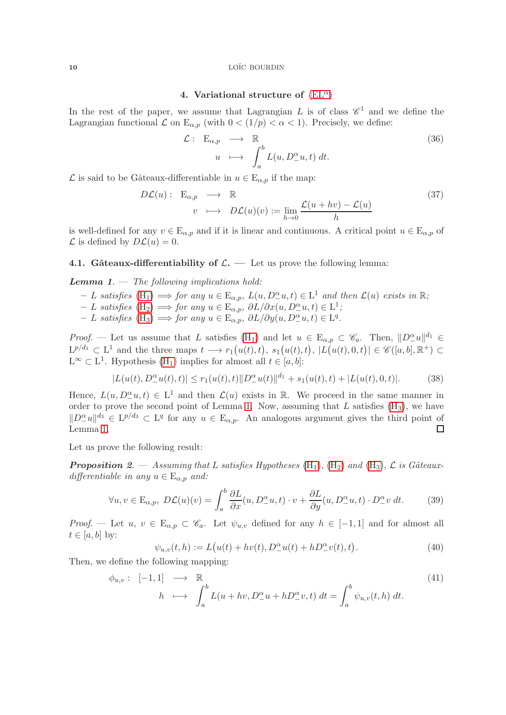# 4. Variational structure of  $(EL^{\alpha})$  $(EL^{\alpha})$

<span id="page-9-0"></span>In the rest of the paper, we assume that Lagrangian L is of class  $\mathscr{C}^1$  and we define the Lagrangian functional  $\mathcal L$  on  $\mathbb E_{\alpha,p}$  (with  $0 < (1/p) < \alpha < 1$ ). Precisely, we define:

$$
\mathcal{L}: \mathcal{E}_{\alpha,p} \longrightarrow \mathbb{R} \newline u \longmapsto \int_a^b L(u,D_{-}^{\alpha}u,t) dt.
$$
\n(36)

 $\mathcal L$  is said to be Gâteaux-differentiable in  $u \in \mathcal E_{\alpha,p}$  if the map:

$$
D\mathcal{L}(u): \mathcal{E}_{\alpha,p} \longrightarrow \mathbb{R}
$$
  
\n
$$
v \longrightarrow D\mathcal{L}(u)(v) := \lim_{h \to 0} \frac{\mathcal{L}(u + hv) - \mathcal{L}(u)}{h}
$$
 (37)

is well-defined for any  $v \in E_{\alpha,p}$  and if it is linear and continuous. A critical point  $u \in E_{\alpha,p}$  of  $\mathcal L$  is defined by  $D\mathcal L(u)=0$ .

# 4.1. Gâteaux-differentiability of  $\mathcal{L}$ . — Let us prove the following lemma:

**Lemma 1.**  $-$  The following implications hold:

- $− L$  satisfies  $(H_1) \implies$  $(H_1) \implies$  for any  $u \in E_{\alpha,p}$ ,  $L(u, D_2^{\alpha}u, t) \in L^1$  and then  $\mathcal{L}(u)$  exists in  $\mathbb{R};$
- $L$  satisfies [\(H](#page-1-2)<sub>2</sub>) ⇒ for any  $u \in \mathbb{E}_{\alpha,p}$ ,  $\partial L/\partial x(u, D_-^{\alpha}u, t) \in \mathbb{L}^1$ ;
- $L$  satisfies  $(H_3)$  $(H_3)$  ⇒ for any  $u \in E_{\alpha,p}$ ,  $\partial L/\partial y(u, D_-\alpha^a u, t) \in L^q$ .

*Proof.* — Let us assume that L satisfies  $(H_1)$  and let  $u \in E_{\alpha,p} \subset \mathscr{C}_a$ . Then,  $||D^{\alpha}_-u||^{d_1} \in$  $\mathcal{L}^{p/d_1} \subset \mathcal{L}^1$  and the three maps  $t \longrightarrow r_1(u(t),t), s_1(u(t),t), |L(u(t),0,t)| \in \mathscr{C}([a,b],\mathbb{R}^+) \subset$  $L^{\infty} \subset L^{1}$ . Hypothesis  $(H_{1})$  implies for almost all  $t \in [a, b]$ :

$$
|L(u(t), D_+^{\alpha}u(t), t)| \le r_1(u(t), t) \|D_+^{\alpha}u(t)\|^{d_1} + s_1(u(t), t) + |L(u(t), 0, t)|. \tag{38}
$$

Hence,  $L(u, D_{{-}}^{\alpha}u, t) \in L^{1}$  and then  $\mathcal{L}(u)$  exists in  $\mathbb{R}$ . We proceed in the same manner in order to prove the second point of Lemma 1. Now, assuming that L satisfies  $(H_3)$ , we have  $||D_+^{\alpha}u||^{d_3} \in L^{p/d_3} \subset L^q$  for any  $u \in E_{\alpha,p}$ . An analogous argument gives the third point of Lemma 1. □

Let us prove the following result:

**Proposition** 2. — Assuming that L satisfies Hypotheses  $(H_1)$  $(H_1)$ ,  $(H_2)$  and  $(H_3)$ , L is Gâteauxdifferentiable in any  $u \in E_{\alpha,p}$  and:

$$
\forall u, v \in \mathcal{E}_{\alpha, p}, \ D\mathcal{L}(u)(v) = \int_{a}^{b} \frac{\partial L}{\partial x}(u, D_{-}^{\alpha}u, t) \cdot v + \frac{\partial L}{\partial y}(u, D_{-}^{\alpha}u, t) \cdot D_{-}^{\alpha}v \, dt. \tag{39}
$$

Proof. — Let  $u, v \in \mathbb{E}_{\alpha, p} \subset \mathscr{C}_a$ . Let  $\psi_{u,v}$  defined for any  $h \in [-1,1]$  and for almost all  $t \in [a, b]$  by:

$$
\psi_{u,v}(t,h) := L(u(t) + hv(t), D_{{-}}^{\alpha}u(t) + hD_{{-}}^{\alpha}v(t), t).
$$
\n(40)

Then, we define the following mapping:

$$
\phi_{u,v}: [-1,1] \longrightarrow \mathbb{R}
$$
  
\n
$$
h \longrightarrow \int_a^b L(u+hv, D^{\alpha}_-u + h D^{\alpha}_-v, t) dt = \int_a^b \psi_{u,v}(t, h) dt.
$$
\n(41)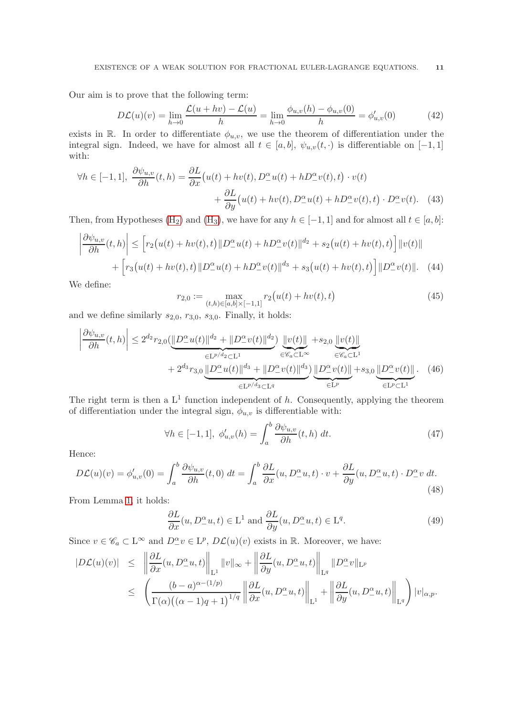Our aim is to prove that the following term:

$$
D\mathcal{L}(u)(v) = \lim_{h \to 0} \frac{\mathcal{L}(u + hv) - \mathcal{L}(u)}{h} = \lim_{h \to 0} \frac{\phi_{u,v}(h) - \phi_{u,v}(0)}{h} = \phi'_{u,v}(0)
$$
(42)

exists in R. In order to differentiate  $\phi_{u,v}$ , we use the theorem of differentiation under the integral sign. Indeed, we have for almost all  $t \in [a, b]$ ,  $\psi_{u,v}(t, \cdot)$  is differentiable on  $[-1, 1]$ with:

$$
\forall h \in [-1, 1], \ \frac{\partial \psi_{u,v}}{\partial h}(t, h) = \frac{\partial L}{\partial x}(u(t) + hv(t), D^{\alpha}_{-}u(t) + hD^{\alpha}_{-}v(t), t) \cdot v(t) + \frac{\partial L}{\partial y}(u(t) + hv(t), D^{\alpha}_{-}u(t) + hD^{\alpha}_{-}v(t), t) \cdot D^{\alpha}_{-}v(t). \tag{43}
$$

Then, from Hypotheses [\(H](#page-2-0)<sub>2</sub>) and (H<sub>3</sub>), we have for any  $h \in [-1, 1]$  and for almost all  $t \in [a, b]$ :

$$
\left| \frac{\partial \psi_{u,v}}{\partial h}(t,h) \right| \leq \left[ r_2(u(t) + hv(t),t) \| D^{\alpha}_{-}u(t) + h D^{\alpha}_{-}v(t) \|^{d_2} + s_2(u(t) + hv(t),t) \right] \| v(t) \|
$$

$$
+ \left[ r_3(u(t) + hv(t),t) \| D^{\alpha}_{-}u(t) + h D^{\alpha}_{-}v(t) \|^{d_3} + s_3(u(t) + hv(t),t) \right] \| D^{\alpha}_{-}v(t) \|.
$$
 (44)

We define:

 $\mathcal{L}$ 

$$
r_{2,0} := \max_{(t,h)\in[a,b]\times[-1,1]} r_2(u(t) + hv(t),t)
$$
\n<sup>(45)</sup>

and we define similarly  $s_{2,0}$ ,  $r_{3,0}$ ,  $s_{3,0}$ . Finally, it holds:

$$
\left| \frac{\partial \psi_{u,v}}{\partial h}(t,h) \right| \leq 2^{d_2} r_{2,0} (\underbrace{\|D^{\alpha}_- u(t)\|^{d_2} + \|D^{\alpha}_- v(t)\|^{d_2}}_{\in L^{p/d_2} \subset L^1} ) \underbrace{\|v(t)\|}_{\in \mathscr{C}_a \subset L^{\infty}} + 2^{d_3} r_{3,0} \underbrace{\|D^{\alpha}_- u(t)\|^{d_3} + \|D^{\alpha}_- v(t)\|^{d_3}}_{\in L^{p/d_3} \subset L^q} ) \underbrace{\|D^{\alpha}_- v(t)\|}_{\in L^p} + s_{3,0} \underbrace{\|D^{\alpha}_- v(t)\|}_{\in L^p \subset L^1} . \tag{46}
$$

The right term is then a  $L^1$  function independent of h. Consequently, applying the theorem of differentiation under the integral sign,  $\phi_{u,v}$  is differentiable with:

$$
\forall h \in [-1, 1], \ \phi'_{u,v}(h) = \int_a^b \frac{\partial \psi_{u,v}}{\partial h}(t, h) \ dt. \tag{47}
$$

Hence:

$$
D\mathcal{L}(u)(v) = \phi'_{u,v}(0) = \int_a^b \frac{\partial \psi_{u,v}}{\partial h}(t,0) dt = \int_a^b \frac{\partial L}{\partial x}(u, D^\alpha_- u, t) \cdot v + \frac{\partial L}{\partial y}(u, D^\alpha_- u, t) \cdot D^\alpha_- v dt.
$$
\n(48)

From Lemma 1, it holds:

$$
\frac{\partial L}{\partial x}(u, D_{-}^{\alpha}u, t) \in \mathcal{L}^{1} \text{ and } \frac{\partial L}{\partial y}(u, D_{-}^{\alpha}u, t) \in \mathcal{L}^{q}.
$$
\n(49)

Since  $v \in \mathscr{C}_a \subset L^{\infty}$  and  $D^{\alpha}_-v \in L^p$ ,  $D\mathcal{L}(u)(v)$  exists in  $\mathbb{R}$ . Moreover, we have:

$$
|D\mathcal{L}(u)(v)| \leq \left\| \frac{\partial L}{\partial x}(u, D_{-}^{\alpha}u, t) \right\|_{\mathcal{L}^{1}} \|v\|_{\infty} + \left\| \frac{\partial L}{\partial y}(u, D_{-}^{\alpha}u, t) \right\|_{\mathcal{L}^{q}} \|D_{-}^{\alpha}v\|_{\mathcal{L}^{p}} \leq \left( \frac{(b-a)^{\alpha-(1/p)}}{\Gamma(\alpha)((\alpha-1)q+1)^{1/q}} \left\| \frac{\partial L}{\partial x}(u, D_{-}^{\alpha}u, t) \right\|_{\mathcal{L}^{1}} + \left\| \frac{\partial L}{\partial y}(u, D_{-}^{\alpha}u, t) \right\|_{\mathcal{L}^{q}} \right) |v|_{\alpha, p}.
$$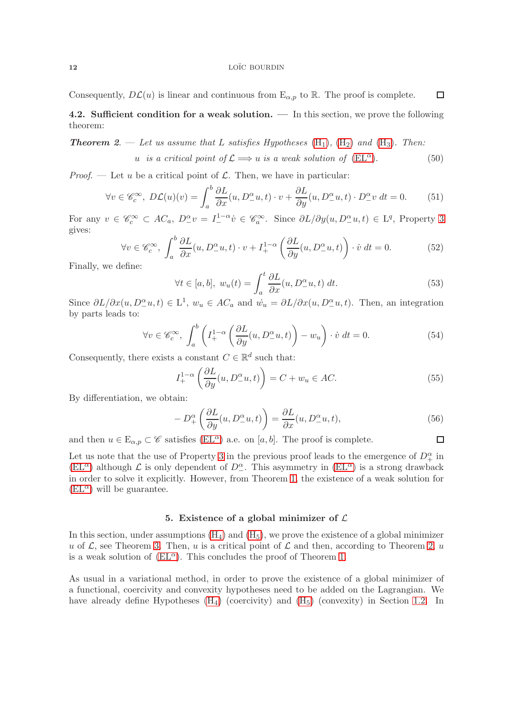<span id="page-11-1"></span>Consequently,  $D\mathcal{L}(u)$  is linear and continuous from  $E_{\alpha,p}$  to  $\mathbb{R}$ . The proof is complete.  $\Box$ 

**4.2.** Sufficient condition for a weak solution.  $\overline{a}$  In this section, we prove the following theorem:

**Theorem 2.** — Let us assume that L satisfies Hypotheses  $(H_1)$  $(H_1)$ ,  $(H_2)$  and  $(H_3)$ . Then: u is a critical point of  $\mathcal{L} \Longrightarrow u$  is a weak solution of  $(EL^{\alpha})$  $(EL^{\alpha})$ . ). (50)

*Proof.* — Let u be a critical point of  $\mathcal{L}$ . Then, we have in particular:

$$
\forall v \in \mathcal{C}_c^{\infty}, \ D\mathcal{L}(u)(v) = \int_a^b \frac{\partial L}{\partial x}(u, D^{\alpha}_- u, t) \cdot v + \frac{\partial L}{\partial y}(u, D^{\alpha}_- u, t) \cdot D^{\alpha}_- v \, dt = 0. \tag{51}
$$

For any  $v \in \mathscr{C}_c^{\infty} \subset AC_a$ ,  $D_{-}^{\alpha}v = I_{-}^{1-\alpha}v \in \mathscr{C}_a^{\infty}$ . Since  $\partial L/\partial y(u, D_{-}^{\alpha}u, t) \in L^q$ , Property 3 gives:

$$
\forall v \in \mathscr{C}_c^{\infty}, \int_a^b \frac{\partial L}{\partial x}(u, D_-^{\alpha} u, t) \cdot v + I_+^{1-\alpha} \left(\frac{\partial L}{\partial y}(u, D_-^{\alpha} u, t)\right) \cdot \dot{v} \, dt = 0. \tag{52}
$$

Finally, we define:

$$
\forall t \in [a, b], \ w_u(t) = \int_a^t \frac{\partial L}{\partial x}(u, D^\alpha_- u, t) \ dt.
$$
 (53)

Since  $\partial L/\partial x(u, D_-\alpha u, t) \in L^1$ ,  $w_u \in AC_a$  and  $\dot{w}_u = \partial L/\partial x(u, D_-\alpha u, t)$ . Then, an integration by parts leads to:

$$
\forall v \in \mathcal{C}_c^{\infty}, \int_a^b \left( I_+^{1-\alpha} \left( \frac{\partial L}{\partial y}(u, D_-^{\alpha} u, t) \right) - w_u \right) \cdot \dot{v} \, dt = 0. \tag{54}
$$

Consequently, there exists a constant  $C \in \mathbb{R}^d$  such that:

$$
I_{+}^{1-\alpha} \left( \frac{\partial L}{\partial y}(u, D_{-}^{\alpha} u, t) \right) = C + w_u \in AC.
$$
 (55)

By differentiation, we obtain:

$$
-D_+^{\alpha} \left( \frac{\partial L}{\partial y}(u, D_-^{\alpha} u, t) \right) = \frac{\partial L}{\partial x}(u, D_-^{\alpha} u, t), \tag{56}
$$

□

and then  $u \in \mathcal{E}_{\alpha,p} \subset \mathscr{C}$  satisfies [\(EL](#page-1-0)<sup> $\alpha$ </sup>) a.e. on [a, b]. The proof is complete.

Let us note that the use of Property 3 in the previous proof leads to the emergence of  $D_+^{\alpha}$  in  $(EL^{\alpha})$  $(EL^{\alpha})$  although  $\mathcal L$  is only dependent of  $D^{\alpha}_{-}$ . This asymmetry in  $(EL^{\alpha})$  is a strong drawback in order to solve it explicitly. However, from Theorem 1, the existence of a weak solution for  $(EL^{\alpha})$  $(EL^{\alpha})$  will be guarantee.

### 5. Existence of a global minimizer of  $\mathcal L$

<span id="page-11-0"></span>In this section, under assumptions  $(H_4)$  and  $(H_5)$ , we prove the existence of a global minimizer u of  $\mathcal{L}$ , see Theorem 3. Then, u is a critical point of  $\mathcal{L}$  and then, according to Theorem 2, u is a weak solution of  $(EL^{\alpha})$ . This concludes the proof of Theorem 1.

As usual in a variational method, in order to prove the existence of a global minimizer of a functional, coercivity and convexity hypotheses need to be added on the Lagrangian. We have already define Hypotheses  $(H_4)$  (coercivity) and  $(H_5)$  (convexity) in Section [1.2.](#page-1-3) In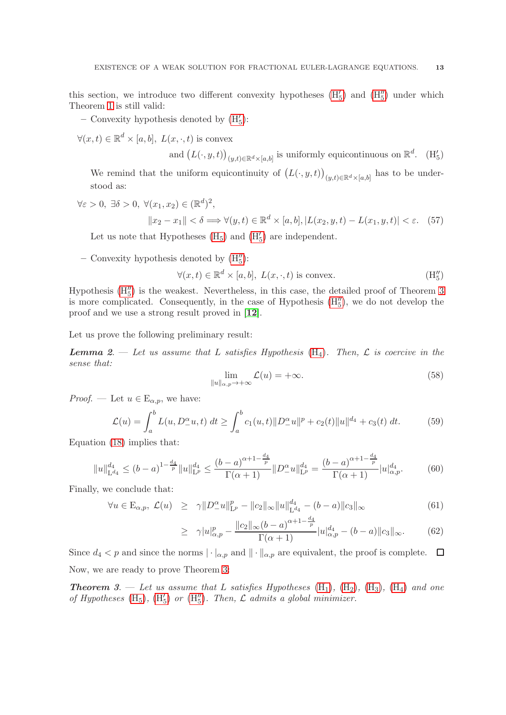this section, we introduce two different convexity hypotheses  $(H'_5)$  and  $(H''_5)$  under which Theorem 1 is still valid:

– Convexity hypothesis denoted by  $(H'_5)$ :

 $\forall (x, t) \in \mathbb{R}^d \times [a, b], L(x, \cdot, t)$  is convex

<span id="page-12-0"></span>and  $(L(\cdot, y, t))_{(y,t)\in\mathbb{R}^d\times[a,b]}$  is uniformly equicontinuous on  $\mathbb{R}^d$ . (H<sub>5</sub>)

We remind that the uniform equicontinuity of  $(L(\cdot, y, t))_{(y,t)\in\mathbb{R}^d\times[a,b]}$  has to be understood as:

 $\forall \varepsilon > 0, \exists \delta > 0, \ \forall (x_1, x_2) \in (\mathbb{R}^d)^2,$  $||x_2 - x_1|| < \delta \Longrightarrow \forall (y, t) \in \mathbb{R}^d \times [a, b], |L(x_2, y, t) - L(x_1, y, t)| < \varepsilon.$  (57)

Let us note that Hypotheses  $(H_5)$  and  $(H'_5)$  are independent.

– Convexity hypothesis denoted by  $(H''_5)$ :

$$
\forall (x,t) \in \mathbb{R}^d \times [a,b], \ L(x,\cdot,t) \text{ is convex.}
$$
 (H''<sub>5</sub>)

Hypothesis  $(H''_5)$  is the weakest. Nevertheless, in this case, the detailed proof of Theorem 3 is more complicated. Consequently, in the case of Hypothesis  $(H''_5)$ , we do not develop the proof and we use a strong result proved in [[12](#page-16-13)].

Let us prove the following preliminary result:

**Lemma** 2. — Let us assume that L satisfies Hypothesis  $(H_4)$  $(H_4)$ . Then, L is coercive in the sense that:

<span id="page-12-1"></span>
$$
\lim_{\|u\|_{\alpha,p}\to+\infty}\mathcal{L}(u)=+\infty.\tag{58}
$$

*Proof.* — Let  $u \in E_{\alpha,p}$ , we have:

$$
\mathcal{L}(u) = \int_{a}^{b} L(u, D_{-}^{\alpha} u, t) dt \ge \int_{a}^{b} c_1(u, t) \|D_{-}^{\alpha} u\|^p + c_2(t) \|u\|^{d_4} + c_3(t) dt.
$$
 (59)

Equation [\(18\)](#page-6-3) implies that:

$$
||u||_{\mathcal{L}^{d_4}}^{d_4} \le (b-a)^{1-\frac{d_4}{p}} ||u||_{\mathcal{L}^p}^{d_4} \le \frac{(b-a)^{\alpha+1-\frac{d_4}{p}}}{\Gamma(\alpha+1)} ||D_-^{\alpha}u||_{\mathcal{L}^p}^{d_4} = \frac{(b-a)^{\alpha+1-\frac{d_4}{p}}}{\Gamma(\alpha+1)} |u|_{\alpha,p}^{d_4}.
$$
 (60)

Finally, we conclude that:

$$
\forall u \in \mathcal{E}_{\alpha, p}, \ \mathcal{L}(u) \geq \gamma \| D^{\alpha}_{-} u \|_{\mathcal{L}^{p}}^{p} - \| c_{2} \|_{\infty} \| u \|_{\mathcal{L}^{d_{4}}}^{d_{4}} - (b - a) \| c_{3} \|_{\infty}
$$
(61)

$$
\geq \gamma |u|_{\alpha,p}^p - \frac{\|c_2\|_{\infty} (b-a)^{\alpha+1-\frac{d_4}{p}}}{\Gamma(\alpha+1)} |u|_{\alpha,p}^{d_4} - (b-a) \|c_3\|_{\infty}.
$$
 (62)

Since  $d_4 < p$  and since the norms  $|\cdot|_{\alpha,p}$  and  $||\cdot||_{\alpha,p}$  are equivalent, the proof is complete.  $\Box$ Now, we are ready to prove Theorem 3:

**Theorem 3.** — Let us assume that L satisfies Hypotheses  $(H_1)$  $(H_1)$ ,  $(H_2)$ ,  $(H_3)$ ,  $(H_4)$  and one of Hypotheses [\(H](#page-12-1)<sub>5</sub>), (H<sub>5</sub>) or (H<sub>5</sub>). Then,  $\mathcal L$  admits a global minimizer.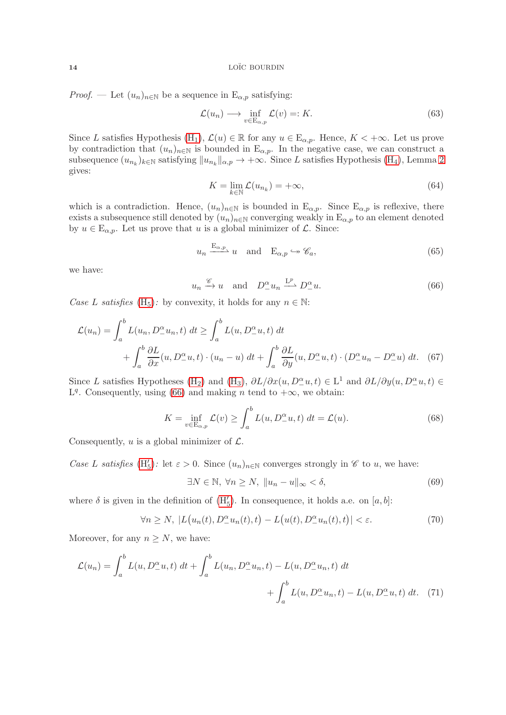*Proof.* — Let  $(u_n)_{n\in\mathbb{N}}$  be a sequence in  $E_{\alpha,p}$  satisfying:

$$
\mathcal{L}(u_n) \longrightarrow \inf_{v \in \mathcal{E}_{\alpha,p}} \mathcal{L}(v) =: K. \tag{63}
$$

Since L satisfies Hypothesis [\(H](#page-1-1)<sub>1</sub>),  $\mathcal{L}(u) \in \mathbb{R}$  for any  $u \in E_{\alpha,p}$ . Hence,  $K < +\infty$ . Let us prove by contradiction that  $(u_n)_{n\in\mathbb{N}}$  is bounded in  $E_{\alpha,p}$ . In the negative case, we can construct a subsequence  $(u_{n_k})_{k\in\mathbb{N}}$  satisfying  $||u_{n_k}||_{\alpha,p} \to +\infty$ . Since L satisfies Hypothesis [\(H](#page-2-1)<sub>4</sub>), Lemma 2 gives:

$$
K = \lim_{k \in \mathbb{N}} \mathcal{L}(u_{n_k}) = +\infty,
$$
\n(64)

which is a contradiction. Hence,  $(u_n)_{n\in\mathbb{N}}$  is bounded in  $E_{\alpha,p}$ . Since  $E_{\alpha,p}$  is reflexive, there exists a subsequence still denoted by  $(u_n)_{n\in\mathbb{N}}$  converging weakly in  $E_{\alpha,p}$  to an element denoted by  $u \in \mathbb{E}_{\alpha,p}$ . Let us prove that u is a global minimizer of  $\mathcal{L}$ . Since:

$$
u_n \xrightarrow{\mathbf{E}_{\alpha,p}} u
$$
 and  $\mathbf{E}_{\alpha,p} \hookrightarrow \mathscr{C}_a$ , (65)

we have:

<span id="page-13-0"></span>
$$
u_n \xrightarrow{\mathscr{C}} u
$$
 and  $D_-^{\alpha} u_n \xrightarrow{L^p} D_-^{\alpha} u.$  (66)

Case L satisfies [\(H](#page-2-2)<sub>5</sub>): by convexity, it holds for any  $n \in \mathbb{N}$ :

$$
\mathcal{L}(u_n) = \int_a^b L(u_n, D^{\alpha}_- u_n, t) dt \ge \int_a^b L(u, D^{\alpha}_- u, t) dt + \int_a^b \frac{\partial L}{\partial x}(u, D^{\alpha}_- u, t) \cdot (u_n - u) dt + \int_a^b \frac{\partial L}{\partial y}(u, D^{\alpha}_- u, t) \cdot (D^{\alpha}_- u_n - D^{\alpha}_- u) dt. \tag{67}
$$

Since L satisfies Hypotheses [\(H](#page-2-0)<sub>2</sub>) and (H<sub>3</sub>),  $\partial L/\partial x(u, D_-^{\alpha}u, t) \in L^1$  and  $\partial L/\partial y(u, D_-^{\alpha}u, t) \in$ L<sup>q</sup>. Consequently, using [\(66\)](#page-13-0) and making n tend to  $+\infty$ , we obtain:

$$
K = \inf_{v \in \mathcal{E}_{\alpha,p}} \mathcal{L}(v) \ge \int_a^b L(u, D^\alpha_- u, t) dt = \mathcal{L}(u). \tag{68}
$$

Consequently, u is a global minimizer of  $\mathcal{L}$ .

Case L satisfies [\(H](#page-12-0)'<sub>5</sub>): let  $\varepsilon > 0$ . Since  $(u_n)_{n \in \mathbb{N}}$  converges strongly in  $\mathscr{C}$  to u, we have:

$$
\exists N \in \mathbb{N}, \ \forall n \ge N, \ \|u_n - u\|_{\infty} < \delta,\tag{69}
$$

where  $\delta$  is given in the definition of  $(H'_{5})$ . In consequence, it holds a.e. on  $[a, b]$ :

<span id="page-13-1"></span>
$$
\forall n \ge N, \ |L(u_n(t), D_{-}^{\alpha} u_n(t), t) - L(u(t), D_{-}^{\alpha} u_n(t), t)| < \varepsilon. \tag{70}
$$

Moreover, for any  $n \geq N$ , we have:

$$
\mathcal{L}(u_n) = \int_a^b L(u, D^\alpha_- u, t) dt + \int_a^b L(u_n, D^\alpha_- u_n, t) - L(u, D^\alpha_- u_n, t) dt + \int_a^b L(u, D^\alpha_- u_n, t) - L(u, D^\alpha_- u, t) dt.
$$
 (71)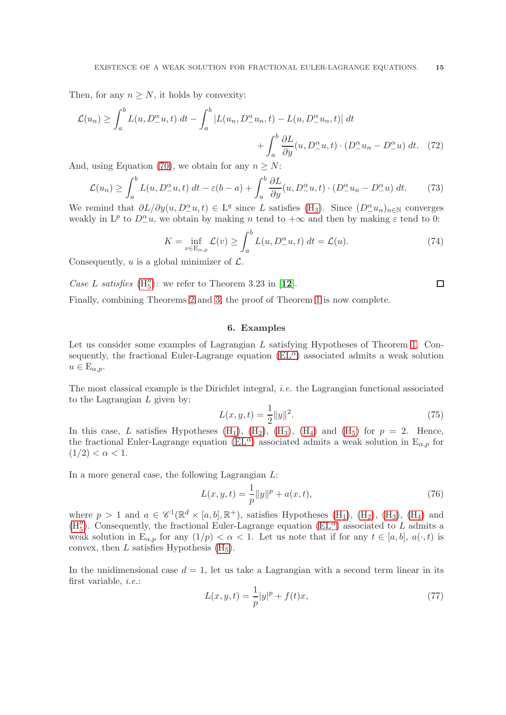Then, for any  $n \geq N$ , it holds by convexity:

$$
\mathcal{L}(u_n) \ge \int_a^b L(u, D^\alpha_- u, t) dt - \int_a^b |L(u_n, D^\alpha_- u_n, t) - L(u, D^\alpha_- u_n, t)| dt
$$

$$
+ \int_a^b \frac{\partial L}{\partial y}(u, D^\alpha_- u, t) \cdot (D^\alpha_- u_n - D^\alpha_- u) dt. \tag{72}
$$

And, using Equation [\(70\)](#page-13-1), we obtain for any  $n \geq N$ :

$$
\mathcal{L}(u_n) \ge \int_a^b L(u, D^\alpha_- u, t) dt - \varepsilon (b - a) + \int_a^b \frac{\partial L}{\partial y}(u, D^\alpha_- u, t) \cdot (D^\alpha_- u_n - D^\alpha_- u) dt. \tag{73}
$$

We remind that  $\partial L/\partial y(u, D_-\alpha^{\alpha} u,t) \in L^q$  since L satisfies [\(H](#page-2-0)<sub>3</sub>). Since  $(D_-\alpha^{\alpha} u_n)_{n\in\mathbb{N}}$  converges weakly in  $L^p$  to  $D^{\alpha}_{-}u$ , we obtain by making n tend to  $+\infty$  and then by making  $\varepsilon$  tend to 0:

$$
K = \inf_{v \in \mathcal{E}_{\alpha, p}} \mathcal{L}(v) \ge \int_{a}^{b} L(u, D_{-}^{\alpha} u, t) dt = \mathcal{L}(u). \tag{74}
$$

Consequently, u is a global minimizer of  $\mathcal{L}$ .

Case L satisfies  $(H''_5)$  $(H''_5)$ : we refer to Theorem 3.23 in [[12](#page-16-13)].

<span id="page-14-0"></span>Finally, combining Theorems 2 and 3, the proof of Theorem 1 is now complete.

### 6. Examples

Let us consider some examples of Lagrangian L satisfying Hypotheses of Theorem 1. Consequently, the fractional Euler-Lagrange equation  $(EL^{\alpha})$  associated admits a weak solution  $u \in E_{\alpha,p}.$ 

The most classical example is the Dirichlet integral, i.e. the Lagrangian functional associated to the Lagrangian  $L$  given by:

$$
L(x, y, t) = \frac{1}{2} ||y||^2.
$$
\n(75)

 $\Box$ 

In this case, L satisfies Hypotheses  $(H_1)$ ,  $(H_2)$ ,  $(H_3)$ ,  $(H_4)$  and  $(H_5)$  for  $p = 2$ . Hence, the fractional Euler-Lagrange equation [\(EL](#page-1-0)<sup> $\alpha$ </sup>) associated admits a weak solution in E<sub> $\alpha$ ,p</sub> for  $(1/2) < \alpha < 1.$ 

In a more general case, the following Lagrangian  $L$ :

$$
L(x, y, t) = \frac{1}{p} ||y||^{p} + a(x, t),
$$
\n(76)

where  $p > 1$  and  $a \in \mathscr{C}^1(\mathbb{R}^d \times [a, b], \mathbb{R}^+)$ , satisfies Hypotheses  $(H_1)$ ,  $(H_2)$ ,  $(H_3)$ ,  $(H_4)$  and [\(H](#page-12-1)<sup>''</sup><sub>5</sub>). Consequently, the fractional Euler-Lagrange equation [\(EL](#page-1-0)<sup> $\alpha$ </sup>) associated to L admits a weak solution in  $E_{\alpha,p}$  for any  $(1/p) < \alpha < 1$ . Let us note that if for any  $t \in [a,b], a(\cdot,t)$  is convex, then L satisfies Hypothesis  $(H_5)$ .

In the unidimensional case  $d = 1$ , let us take a Lagrangian with a second term linear in its first variable, i.e.:

$$
L(x, y, t) = \frac{1}{p}|y|^p + f(t)x,
$$
\n(77)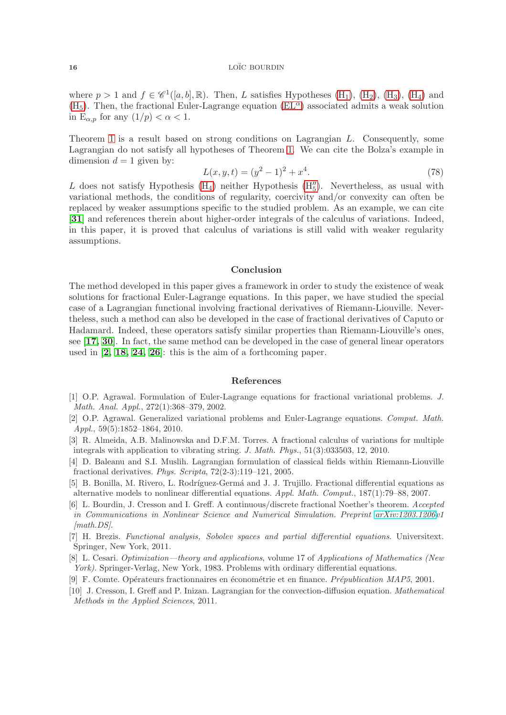where  $p > 1$  and  $f \in \mathscr{C}^1([a, b], \mathbb{R})$ . Then, L satisfies Hypotheses  $(H_1)$ ,  $(H_2)$ ,  $(H_3)$ ,  $(H_4)$  and  $(H<sub>5</sub>)$  $(H<sub>5</sub>)$ . Then, the fractional Euler-Lagrange equation  $(EL<sup>\alpha</sup>)$  associated admits a weak solution in E<sub> $\alpha, p$ </sub> for any  $(1/p) < \alpha < 1$ .

Theorem 1 is a result based on strong conditions on Lagrangian L. Consequently, some Lagrangian do not satisfy all hypotheses of Theorem 1. We can cite the Bolza's example in dimension  $d = 1$  given by:

$$
L(x, y, t) = (y^2 - 1)^2 + x^4.
$$
\n(78)

L does not satisfy Hypothesis  $(H_4)$  neither Hypothesis  $(H''_5)$ . Nevertheless, as usual with variational methods, the conditions of regularity, coercivity and/or convexity can often be replaced by weaker assumptions specific to the studied problem. As an example, we can cite [[31](#page-16-19)] and references therein about higher-order integrals of the calculus of variations. Indeed, in this paper, it is proved that calculus of variations is still valid with weaker regularity assumptions.

# Conclusion

The method developed in this paper gives a framework in order to study the existence of weak solutions for fractional Euler-Lagrange equations. In this paper, we have studied the special case of a Lagrangian functional involving fractional derivatives of Riemann-Liouville. Nevertheless, such a method can also be developed in the case of fractional derivatives of Caputo or Hadamard. Indeed, these operators satisfy similar properties than Riemann-Liouville's ones, see [[17,](#page-16-15) [30](#page-16-16)]. In fact, the same method can be developed in the case of general linear operators used in [[2,](#page-15-9) [18,](#page-16-20) [24,](#page-16-21) [26](#page-16-22)]: this is the aim of a forthcoming paper.

### References

- <span id="page-15-3"></span>[1] O.P. Agrawal. Formulation of Euler-Lagrange equations for fractional variational problems. J. Math. Anal. Appl., 272(1):368–379, 2002.
- <span id="page-15-9"></span>[2] O.P. Agrawal. Generalized variational problems and Euler-Lagrange equations. Comput. Math. Appl., 59(5):1852–1864, 2010.
- <span id="page-15-4"></span>[3] R. Almeida, A.B. Malinowska and D.F.M. Torres. A fractional calculus of variations for multiple integrals with application to vibrating string. J. Math. Phys., 51(3):033503, 12, 2010.
- <span id="page-15-5"></span>[4] D. Baleanu and S.I. Muslih. Lagrangian formulation of classical fields within Riemann-Liouville fractional derivatives. Phys. Scripta, 72(2-3):119–121, 2005.
- <span id="page-15-1"></span>[5] B. Bonilla, M. Rivero, L. Rodríguez-Germá and J. J. Trujillo. Fractional differential equations as alternative models to nonlinear differential equations. Appl. Math. Comput., 187(1):79–88, 2007.
- <span id="page-15-6"></span>[6] L. Bourdin, J. Cresson and I. Greff. A continuous/discrete fractional Noether's theorem. Accepted in Communications in Nonlinear Science and Numerical Simulation. Preprint [arXiv:1203.1206v](http://arxiv.org/abs/1203.1206)1 [math.DS].
- <span id="page-15-8"></span>[7] H. Brezis. Functional analysis, Sobolev spaces and partial differential equations. Universitext. Springer, New York, 2011.
- <span id="page-15-7"></span>[8] L. Cesari. Optimization—theory and applications, volume 17 of Applications of Mathematics (New York). Springer-Verlag, New York, 1983. Problems with ordinary differential equations.
- <span id="page-15-2"></span><span id="page-15-0"></span>[9] F. Comte. Opérateurs fractionnaires en économétrie et en finance. *Prépublication MAP5*, 2001.
- [10] J. Cresson, I. Greff and P. Inizan. Lagrangian for the convection-diffusion equation. Mathematical Methods in the Applied Sciences, 2011.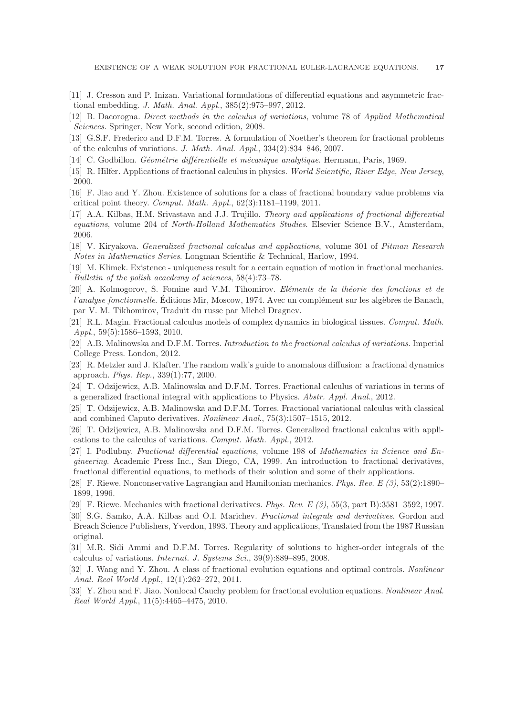- <span id="page-16-5"></span>[11] J. Cresson and P. Inizan. Variational formulations of differential equations and asymmetric fractional embedding. J. Math. Anal. Appl., 385(2):975–997, 2012.
- <span id="page-16-13"></span><span id="page-16-6"></span>[12] B. Dacorogna. Direct methods in the calculus of variations, volume 78 of Applied Mathematical Sciences. Springer, New York, second edition, 2008.
- [13] G.S.F. Frederico and D.F.M. Torres. A formulation of Noether's theorem for fractional problems of the calculus of variations. J. Math. Anal. Appl., 334(2):834–846, 2007.
- <span id="page-16-14"></span><span id="page-16-2"></span>[14] C. Godbillon. Géométrie différentielle et mécanique analytique. Hermann, Paris, 1969.
- <span id="page-16-9"></span>[15] R. Hilfer. Applications of fractional calculus in physics. World Scientific, River Edge, New Jersey, 2000.
- [16] F. Jiao and Y. Zhou. Existence of solutions for a class of fractional boundary value problems via critical point theory. Comput. Math. Appl., 62(3):1181–1199, 2011.
- <span id="page-16-15"></span>[17] A.A. Kilbas, H.M. Srivastava and J.J. Trujillo. Theory and applications of fractional differential equations, volume 204 of North-Holland Mathematics Studies. Elsevier Science B.V., Amsterdam, 2006.
- <span id="page-16-20"></span>[18] V. Kiryakova. Generalized fractional calculus and applications, volume 301 of Pitman Research Notes in Mathematics Series. Longman Scientific & Technical, Harlow, 1994.
- <span id="page-16-10"></span>[19] M. Klimek. Existence - uniqueness result for a certain equation of motion in fractional mechanics. Bulletin of the polish acacdemy of sciences, 58(4):73–78.
- <span id="page-16-17"></span>[20] A. Kolmogorov, S. Fomine and V.M. Tihomirov. Eléments de la théorie des fonctions et de l'analyse fonctionnelle. Éditions Mir, Moscow, 1974. Avec un complément sur les algèbres de Banach, par V. M. Tikhomirov, Traduit du russe par Michel Dragnev.
- <span id="page-16-0"></span>[21] R.L. Magin. Fractional calculus models of complex dynamics in biological tissues. Comput. Math. Appl., 59(5):1586–1593, 2010.
- <span id="page-16-8"></span>[22] A.B. Malinowska and D.F.M. Torres. Introduction to the fractional calculus of variations. Imperial College Press. London, 2012.
- <span id="page-16-1"></span>[23] R. Metzler and J. Klafter. The random walk's guide to anomalous diffusion: a fractional dynamics approach. Phys. Rep., 339(1):77, 2000.
- <span id="page-16-21"></span>[24] T. Odzijewicz, A.B. Malinowska and D.F.M. Torres. Fractional calculus of variations in terms of a generalized fractional integral with applications to Physics. Abstr. Appl. Anal., 2012.
- <span id="page-16-7"></span>[25] T. Odzijewicz, A.B. Malinowska and D.F.M. Torres. Fractional variational calculus with classical and combined Caputo derivatives. Nonlinear Anal., 75(3):1507–1515, 2012.
- <span id="page-16-22"></span>[26] T. Odzijewicz, A.B. Malinowska and D.F.M. Torres. Generalized fractional calculus with applications to the calculus of variations. Comput. Math. Appl., 2012.
- <span id="page-16-18"></span>[27] I. Podlubny. Fractional differential equations, volume 198 of Mathematics in Science and Engineering. Academic Press Inc., San Diego, CA, 1999. An introduction to fractional derivatives, fractional differential equations, to methods of their solution and some of their applications.
- <span id="page-16-3"></span>[28] F. Riewe. Nonconservative Lagrangian and Hamiltonian mechanics. Phys. Rev. E (3), 53(2):1890– 1899, 1996.
- <span id="page-16-16"></span><span id="page-16-4"></span>[29] F. Riewe. Mechanics with fractional derivatives. Phys. Rev. E (3), 55(3, part B):3581–3592, 1997.
- [30] S.G. Samko, A.A. Kilbas and O.I. Marichev. Fractional integrals and derivatives. Gordon and Breach Science Publishers, Yverdon, 1993. Theory and applications, Translated from the 1987 Russian original.
- <span id="page-16-19"></span>[31] M.R. Sidi Ammi and D.F.M. Torres. Regularity of solutions to higher-order integrals of the calculus of variations. Internat. J. Systems Sci., 39(9):889–895, 2008.
- <span id="page-16-11"></span>[32] J. Wang and Y. Zhou. A class of fractional evolution equations and optimal controls. Nonlinear Anal. Real World Appl., 12(1):262–272, 2011.
- <span id="page-16-12"></span>[33] Y. Zhou and F. Jiao. Nonlocal Cauchy problem for fractional evolution equations. Nonlinear Anal. Real World Appl., 11(5):4465–4475, 2010.